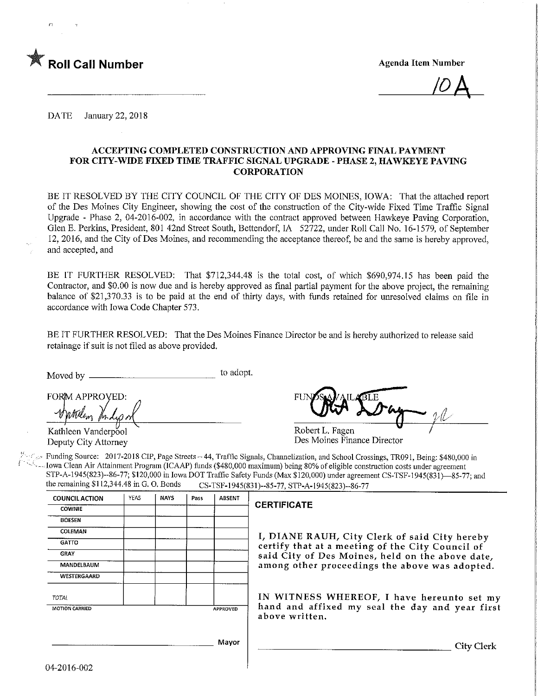

 $\overline{10}A$ 

DATE January 22, 2018

### ACCEPTING COMPLETED CONSTRUCTION AND APPROVING FINAL PAYMENT FOR CITY-WIDE FIXED TIME TRAFFIC SIGNAL UPGRADE - PHASE 2, HAWKEYE PAVING CORPORATION

BE IT RESOLVED BY THE CITY COUNCIL OF THE CITY OF DES MOINES, IOWA: That the attached report of the Des Moines City Engineer, showing the cost of the construction of the City-wide Fixed Time Traffic Signal Upgrade - Phase 2, 04-2016-002, in accordance with the contract approved between Hawkeye Paving Corporation, Glen E. Perkins, President, 801 42nd Street South, Bettendorf, IA 52722, under Roll Call No. 16-1579, of September 12, 2016, and the City of Des Moines, and recommending the acceptance thereof, be and the same is hereby approved. and accepted, and

BE IT FURTHER RESOLVED: That \$712,344.48 is the total cost, of which \$690,974.15 has been paid the Contractor, and \$0.00 is now due and is hereby approved as final partial payment for the above project, the remaining balance of \$21,370.33 is to be paid at the end of thirty days, with funds retained for unresolved claims on file in accordance with Iowa Code Chapter 573.

BE IT FURTHER RESOLVED: That the Des Moines Finance Director be and is hereby authorized to release said retainage if suit is not filed as above provided.

Moved by to adopt.

FORM APPROVED:

Kathleen Vanderpool Deputy City Attorney

FU Robert L. Fagen

Des Moines Finance Director

Figster Funding Source: 2017-2018 CIP, Page Streets -44, Traffic Signals, Channelization, and School Crossings, TR091, Being: \$480,000 in Iowa Clean Air Attainment Program (ICAAP) funds (\$480,000 maximum) being 80% of eligible construction costs under agreement STP-A-1945(823)--86-77; \$120,000 in Iowa DOT Traffic Safety Funds (Max \$120,000) under agreement CS-TSF-1945(831)-85-77; and the remaining \$112,344.48 in G. O. Bonds CS-TSF-1945(831)-85-77; STP-A-1945(823)--86-77 CS-TSF-1945(831)--85-77, STP-A-1945(823)--86-77

| <b>COUNCIL ACTION</b> | <b>YEAS</b> | <b>NAYS</b> | Pass | <b>ABSENT</b> |                                                                   |
|-----------------------|-------------|-------------|------|---------------|-------------------------------------------------------------------|
| <b>COWNIE</b>         |             |             |      |               | <b>CERTIFICATE</b>                                                |
| <b>BOESEN</b>         |             |             |      |               |                                                                   |
| COLEMAN               |             |             |      |               | I, DIANE RAUH, City Clerk of said City hereby                     |
| <b>GATTO</b>          |             |             |      |               | certify that at a meeting of the City Council of                  |
| <b>GRAY</b>           |             |             |      |               | said City of Des Moines, held on the above date,                  |
| MANDELBAUM            |             |             |      |               | among other proceedings the above was adopted.                    |
| <b>WESTERGAARD</b>    |             |             |      |               |                                                                   |
| TOTAL                 |             |             |      |               | IN WITNESS WHEREOF, I have hereunto set my                        |
| <b>MOTION CARRIED</b> |             |             |      | APPROVED      | hand and affixed my seal the day and year first<br>above written. |
|                       |             |             |      | Mayor         | City Clerk                                                        |
| ሊረስበተሬ ሰሰኅ            |             |             |      |               |                                                                   |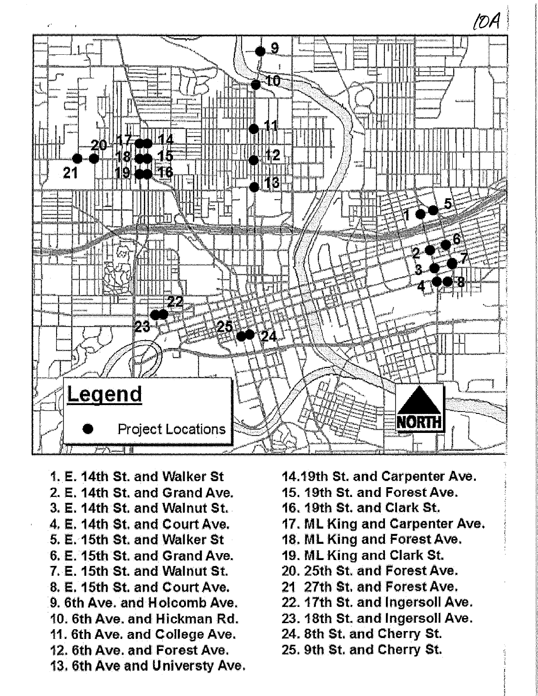

- 1. E. 14th St. and Walker St. 2. E. 14th St. and Grand Ave. 3. E. 14th St. and Walnut St. 4. E. 14th St. and Court Ave. 5. E. 15th St. and Walker St. 6, E. 15th St. and Grand Ave. 7. E. 15th St. and Walnut St. 8. E. 15th St. and Court Ave. 9. 6th Ave. and Holcomb Ave. 10. 6th Ave, and Hickman Rd. 11. 6th Ave. and College Ave. 12. 6th Ave. and Forest Ave. 13. 6th Ave and Universty Ave.
- 14.19th St. and Carpenter Ave.
- 15. 19th St. and Forest Ave.
- 16. 19th St. and Clark St.
- 17. ML King and Carpenter Ave.
- 18. ML King and Forest Ave.
- 19. ML King and Clark St.
- 20. 25th St. and Forest Ave.
- 21 27th St. and Forest Ave.
- 22. 17th St. and Ingersoll Ave.
- 23. 18th St. and Ingersoll Ave.
- 24. 8th St. and Cherry St.
- 25. 9th St. and Cherry St.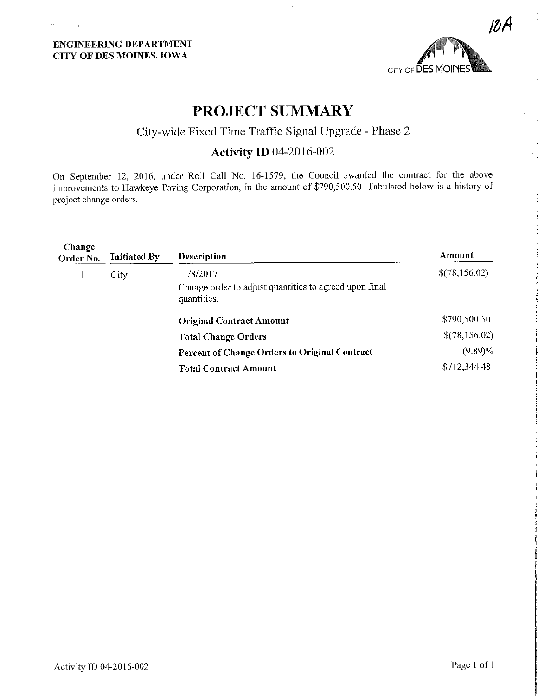V.

 $\bar{1}$ 



# PROJECT SUMMARY

## City-wide Fixed Time Traffic Signal Upgrade - Phase 2

## Activity ID 04-2016-002

On September 12, 2016, under Roll Call No. 16-1579, the Council awarded the contract for the above improvements to Hawkeye Paving Corporation, in the amount of \$790,500.50. Tabulated below is a history of project change orders.

| Change<br>Order No. | <b>Initiated By</b> | Description                                                                        | Amount        |
|---------------------|---------------------|------------------------------------------------------------------------------------|---------------|
|                     | City                | 11/8/2017<br>Change order to adjust quantities to agreed upon final<br>quantities. | \$(78,156.02) |
|                     |                     | <b>Original Contract Amount</b>                                                    | \$790,500.50  |
|                     |                     | <b>Total Change Orders</b>                                                         | \$(78,156.02) |
|                     |                     | Percent of Change Orders to Original Contract                                      | $(9.89)\%$    |
|                     |                     | <b>Total Contract Amount</b>                                                       | \$712,344.48  |
|                     |                     |                                                                                    |               |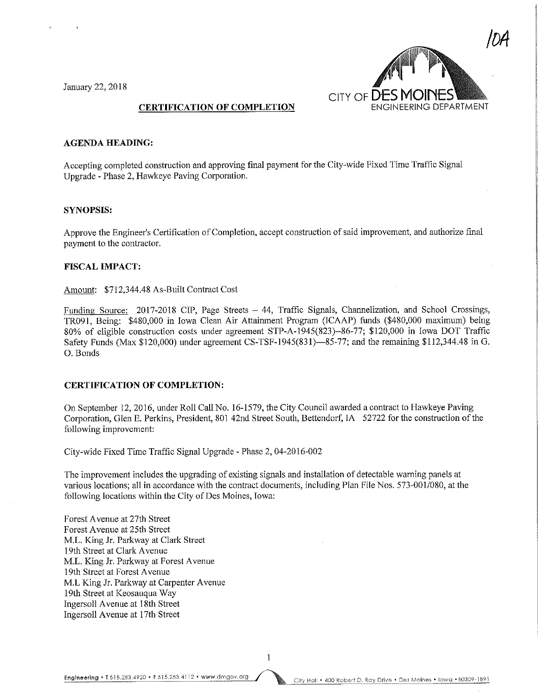January 22, 2018



#### AGENDA HEADING:

Accepting completed construction and approving final payment for the City-wide Fixed Time Traffic Signal Upgrade - Phase 2, Hawkeye Paving Corporation.

#### SYNOPSIS:

Approve the Engineer's Certification of Completion, accept construction of said improvement, and authorize final payment to the contractor.

#### FISCAL IMPACT:

Amount: \$712,344.48 As-Bullt Contract Cost

Funding Source: 2017-2018 CIP, Page Streets - 44, Traffic Signals, Channelization, and School Crossings, TR091, Being: \$480,000 in Iowa Clean Air Attainment Program (ICAAP) funds (\$480,000 maximum) being 80% of eligible construction costs under agreement STP-A-1945(823)-86-77; \$120,000 in Iowa DOT Traffic Safety Funds (Max \$120,000) under agreement CS-TSF-1945(831)—85-77; and the remaining \$112,344.48 in G. 0. Bonds

#### CERTIFICATION OF COMPLETION:

On September 12, 2016, under Roll Call No. 16-1579, the City Council awarded a contract to Hawkeye Paving Corporation, Glen E. Perkins, President, 801 42nd Street South, Bettendorf, JA 52722 for the construction of the following improvement:

City-wide Fixed Time Traffic Signal Upgrade - Phase 2, 04-2016-002

The improvement includes the upgrading of existing signals and installation of detectable warning panels at various locations; all in accordance with the contract documents, including Plan File Nos. 573-001/080, at the following locations within the City of Des Moines, Iowa:

Forest Avenue at 27th Street Forest Avenue at 25th Street M.L. King Jr. Parkway at Clark Street 19th Street at Clark Avenue M.L. King Jr. Parkway at Forest Avenue 19th Street at Forest Avenue M.L King Jr. Parkway at Carpenter Avenue 19th Street at Keosauqua Way Ingersoll Avenue at 18th Street Ingersoll Avenue at 17th Street

Engineeting • T 515.283.4920 • F 515.283.4112 • www.dmgov.org (City Hall • 400 Robert D. Ray Drive • Des Moines • Iowa • 50309-1891

 $\mathbf{1}$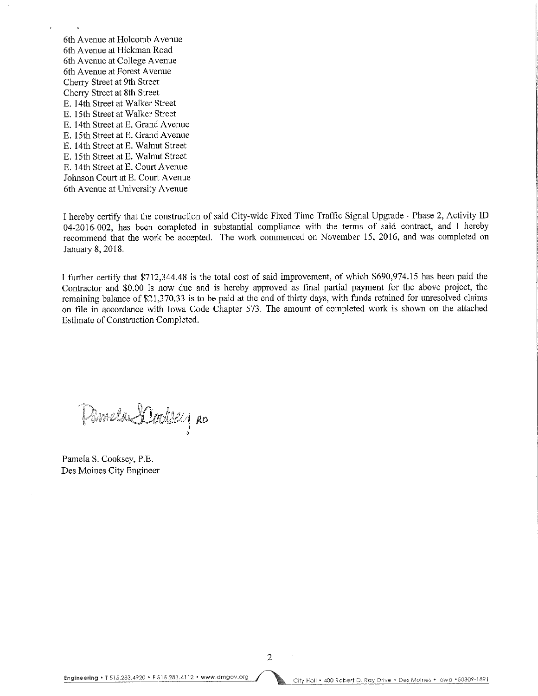6th Avenue at Holcomb Avenue 6th Avenue at Hickman Road 6th Avenue at College Avenue 6th Avenue at Forest Avenue Cherry Street at 9th Street Cherry Street at 8th Street E. 14th Street at Walker Street E. 15th Street at Walker Street E. 14th Street at E. Grand Avenue E. 15th Street at E. Grand Avenue E. 14th Street at E. Walnut Street E. 15th Street at E. Walnut Street E. 14th Street at E. Court Avenue Johnson Court at E. Court Avenue 6th Avenue at University Avenue

I hereby certify that the construction of said City-wide Fixed Time Traffic Signal Upgrade - Phase 2, Activity ID 04-2016-002, has been completed in substantial compliance with the terms of said contract, and I hereby recommend that the work be accepted. The work commenced on November 15, 2016, and was completed on January 8, 2018.

I further certify that \$712,344.48 is the total cost of said hnprovement, of which \$690,974.15 has been paid the Contractor and \$0.00 is now due and is hereby approved as final partial payment for the above project, the remaining balance of \$21,370.33 is to be paid at the end of thirty days, with funds retained for unresolved claims on file in accordance with Iowa Code Chapter 573. The amount of completed work is shown on the attached Estimate of Construction Completed.

Pilmela SCooksey Ro

Pamela S.Cooksey, P.E. Des Moines City Engineer

 $\overline{2}$